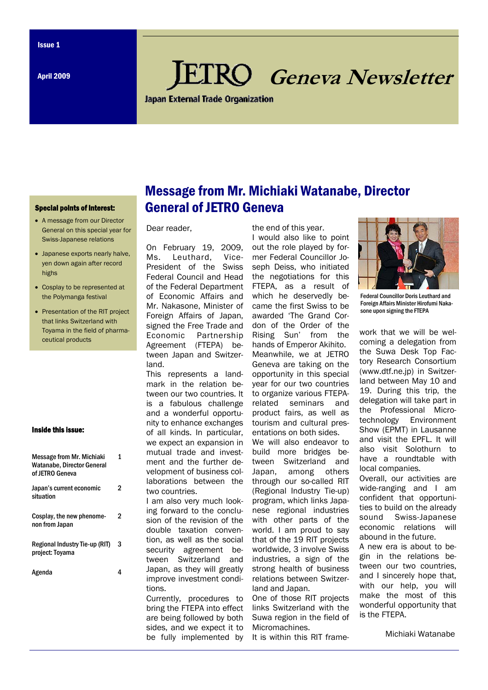April 2009

# **Geneva Newsletter**

**Japan External Trade Organization** 

#### Special points of interest:

- A message from our Director General on this special year for Swiss-Japanese relations
- Japanese exports nearly halve. yen down again after record highs
- Cosplay to be represented at the Polymanga festival
- Presentation of the RIT project that links Switzerland with Toyama in the field of pharmaceutical products

#### Inside this issue:

| <b>Message from Mr. Michiaki</b><br><b>Watanabe, Director General</b><br>of JETRO Geneva | 1 |
|------------------------------------------------------------------------------------------|---|
| Japan's current economic<br>situation                                                    | 2 |
| Cosplay, the new phenome-<br>non from Japan                                              | 2 |
| Regional Industry Tie-up (RIT)<br>project: Toyama                                        | 3 |
| Agenda                                                                                   |   |

## Message from Mr. Michiaki Watanabe, Director General of JETRO Geneva

Dear reader,

On February 19, 2009, Ms. Leuthard, Vice-President of the Swiss Federal Council and Head of the Federal Department of Economic Affairs and Mr. Nakasone, Minister of Foreign Affairs of Japan, signed the Free Trade and Economic Partnership Agreement (FTEPA) between Japan and Switzerland.

This represents a landmark in the relation between our two countries. It is a fabulous challenge and a wonderful opportunity to enhance exchanges of all kinds. In particular, we expect an expansion in mutual trade and investment and the further development of business collaborations between the two countries.

I am also very much looking forward to the conclusion of the revision of the double taxation convention, as well as the social security agreement between Switzerland and Japan, as they will greatly improve investment conditions.

Currently, procedures to bring the FTEPA into effect are being followed by both sides, and we expect it to be fully implemented by

the end of this year. I would also like to point out the role played by former Federal Councillor Joseph Deiss, who initiated the negotiations for this FTEPA, as a result of which he deservedly became the first Swiss to be awarded 'The Grand Cordon of the Order of the Rising Sun' from the hands of Emperor Akihito. Meanwhile, we at JETRO Geneva are taking on the opportunity in this special year for our two countries to organize various FTEPArelated seminars and product fairs, as well as tourism and cultural presentations on both sides. We will also endeavor to build more bridges between Switzerland and Japan, among others through our so-called RIT (Regional Industry Tie-up) program, which links Japanese regional industries with other parts of the world. I am proud to say that of the 19 RIT projects worldwide, 3 involve Swiss industries, a sign of the strong health of business relations between Switzer-

land and Japan. One of those RIT projects links Switzerland with the Suwa region in the field of Micromachines.

It is within this RIT frame-



Federal Councillor Doris Leuthard and Foreign Affairs Minister Hirofumi Nakasone upon signing the FTEPA

work that we will be welcoming a delegation from the Suwa Desk Top Factory Research Consortium (www.dtf.ne.jp) in Switzerland between May 10 and 19. During this trip, the delegation will take part in the Professional Microtechnology Environment Show (EPMT) in Lausanne and visit the EPFL. It will also visit Solothurn to have a roundtable with local companies.

Overall, our activities are wide-ranging and I am confident that opportunities to build on the already sound Swiss-Japanese economic relations will abound in the future.

A new era is about to begin in the relations between our two countries, and I sincerely hope that, with our help, you will make the most of this wonderful opportunity that is the FTEPA.

Michiaki Watanabe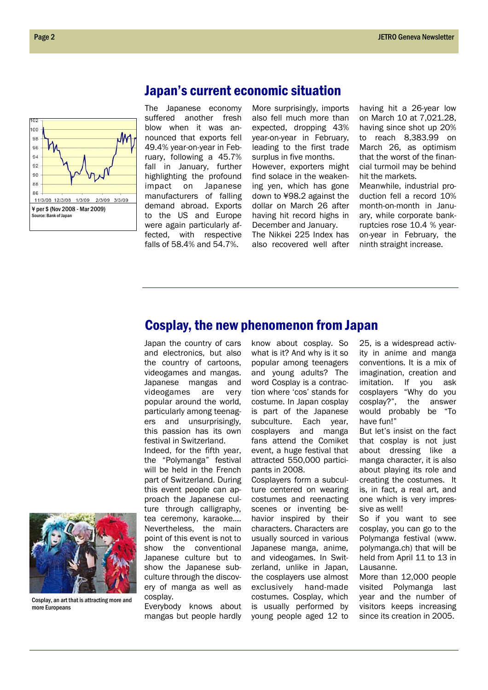

## Japan's current economic situation

The Japanese economy suffered another fresh blow when it was announced that exports fell 49.4% year-on-year in February, following a 45.7% fall in January, further highlighting the profound impact on Japanese manufacturers of falling demand abroad. Exports to the US and Europe were again particularly affected, with respective falls of 58.4% and 54.7%.

More surprisingly, imports also fell much more than expected, dropping 43% year-on-year in February, leading to the first trade surplus in five months. However, exporters might find solace in the weakening yen, which has gone down to ¥98.2 against the dollar on March 26 after having hit record highs in December and January.

The Nikkei 225 Index has also recovered well after having hit a 26-year low on March 10 at 7,021.28, having since shot up 20% to reach 8,383.99 on March 26, as optimism that the worst of the financial turmoil may be behind hit the markets.

Meanwhile, industrial production fell a record 10% month-on-month in January, while corporate bankruptcies rose 10.4 % yearon-year in February, the ninth straight increase.

## Cosplay, the new phenomenon from Japan

Japan the country of cars and electronics, but also the country of cartoons, videogames and mangas. Japanese mangas and videogames are very popular around the world, particularly among teenagers and unsurprisingly, this passion has its own festival in Switzerland.

Indeed, for the fifth year, the "Polymanga" festival will be held in the French part of Switzerland. During this event people can approach the Japanese culture through calligraphy, tea ceremony, karaoke…. Nevertheless, the main point of this event is not to show the conventional Japanese culture but to show the Japanese subculture through the discovery of manga as well as

cosplay. Everybody knows about mangas but people hardly

know about cosplay. So what is it? And why is it so popular among teenagers and young adults? The word Cosplay is a contraction where 'cos' stands for costume. In Japan cosplay is part of the Japanese subculture. Each year, cosplayers and manga fans attend the Comiket event, a huge festival that attracted 550,000 participants in 2008.

Cosplayers form a subculture centered on wearing costumes and reenacting scenes or inventing behavior inspired by their characters. Characters are usually sourced in various Japanese manga, anime, and videogames. In Switzerland, unlike in Japan, the cosplayers use almost exclusively hand-made costumes. Cosplay, which is usually performed by young people aged 12 to

25, is a widespread activity in anime and manga conventions. It is a mix of imagination, creation and imitation. If you ask cosplayers "Why do you cosplay?", the answer would probably be "To have fun!"

But let's insist on the fact that cosplay is not just about dressing like a manga character, it is also about playing its role and creating the costumes. It is, in fact, a real art, and one which is very impressive as well!

So if you want to see cosplay, you can go to the Polymanga festival (www. polymanga.ch) that will be held from April 11 to 13 in Lausanne.

More than 12,000 people visited Polymanga last year and the number of visitors keeps increasing since its creation in 2005.



Cosplay, an art that is attracting more and more Europeans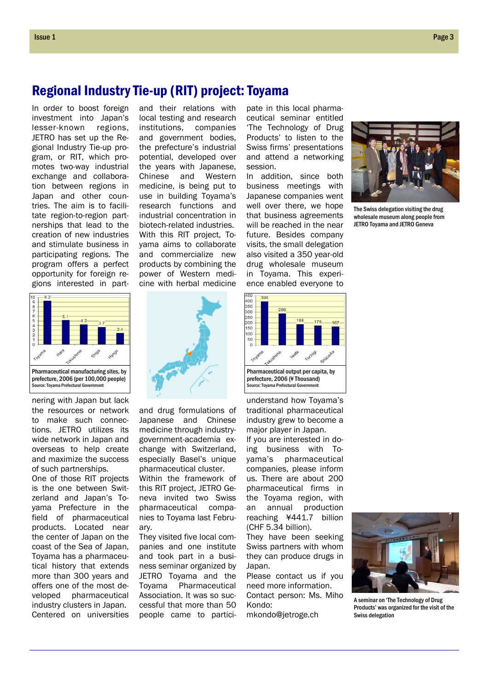In order to boost foreign investment into Japan's lesser-known regions, JETRO has set up the Regional Industry Tie-up program, or RIT, which promotes two-way industrial exchange and collaboration between regions in Japan and other countries. The aim is to facilitate region-to-region partnerships that lead to the creation of new industries and stimulate business in participating regions. The program offers a perfect opportunity for foreign regions interested in part-



nering with Japan but lack the resources or network to make such connections. JETRO utilizes its wide network in Japan and overseas to help create and maximize the success of such partnerships.

One of those RIT projects is the one between Switzerland and Japan's Toyama Prefecture in the field of pharmaceutical products. Located near the center of Japan on the coast of the Sea of Japan, Toyama has a pharmaceutical history that extends more than 300 years and offers one of the most developed pharmaceutical industry clusters in Japan. Centered on universities and their relations with local testing and research institutions, companies and government bodies, the prefecture's industrial potential, developed over the years with Japanese, Chinese and Western medicine, is being put to use in building Toyama's research functions and industrial concentration in biotech-related industries. With this RIT project, Toyama aims to collaborate and commercialize new products by combining the power of Western medicine with herbal medicine

and drug formulations of Japanese and Chinese medicine through industrygovernment-academia exchange with Switzerland, especially Basel's unique pharmaceutical cluster. Within the framework of this RIT project, JETRO Geneva invited two Swiss pharmaceutical companies to Toyama last Febru-

They visited five local companies and one institute and took part in a business seminar organized by JETRO Toyama and the Toyama Pharmaceutical Association. It was so successful that more than 50 people came to partici-

ary.

pate in this local pharmaceutical seminar entitled 'The Technology of Drug Products' to listen to the Swiss firms' presentations and attend a networking session.

In addition, since both business meetings with Japanese companies went well over there, we hope that business agreements will be reached in the near future. Besides company visits, the small delegation also visited a 350 year-old drug wholesale museum in Toyama. This experience enabled everyone to



understand how Toyama's traditional pharmaceutical industry grew to become a major player in Japan.

If you are interested in doing business with Toyama's pharmaceutical companies, please inform us. There are about 200 pharmaceutical firms in the Toyama region, with an annual production reaching ¥441.7 billion (CHF 5.34 billion).

They have been seeking Swiss partners with whom they can produce drugs in Japan.

Please contact us if you need more information. Contact person: Ms. Miho Kondo:

mkondo@jetroge.ch



The Swiss delegation visiting the drug wholesale museum along people from JETRO Toyama and JETRO Geneva



A seminar on 'The Technology of Drug Products' was organized for the visit of the Swiss delegation